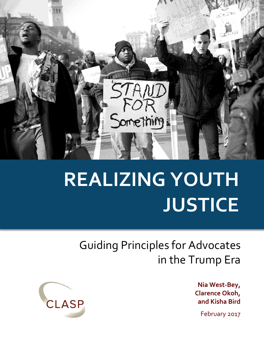

# **REALIZING YOUTH JUSTICE**

# Guiding Principles for Advocates in the Trump Era

**Nia West-Bey, Clarence Okoh, and Kisha Bird**

February 2017

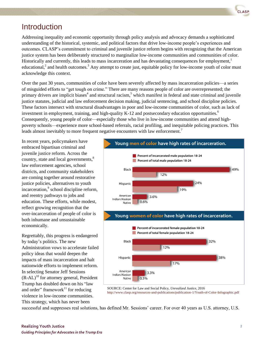

#### Introduction

Addressing inequality and economic opportunity through policy analysis and advocacy demands a sophisticated understanding of the historical, systemic, and political factors that drive low-income people's experiences and outcomes. CLASP's commitment to criminal and juvenile justice reform begins with recognizing that the American justice system has been deliberately structured to marginalize low-income communities and communities of color. Historically and currently, this leads to mass incarceration and has devastating consequences for employment,<sup>1</sup> educational,<sup>2</sup> and health outcomes.<sup>3</sup> Any attempt to create just, equitable policy for low-income youth of color must acknowledge this context.

Over the past 30 years, communities of color have been severely affected by mass incarceration policies—a series of misguided efforts to "get tough on crime." There are many reasons people of color are overrepresented; the primary drivers are implicit biases<sup>4</sup> and structural racism,<sup>5</sup> which manifest in federal and state criminal and juvenile justice statutes, judicial and law enforcement decision making, judicial sentencing, and school discipline policies. These factors intersect with structural disadvantages in poor and low-income communities of color, such as lack of investment in employment, training, and high-quality K-12 and postsecondary education opportunities.<sup>6</sup> Consequently, young people of color—especially those who live in low-income communities and attend highpoverty schools—experience more school-based referrals, racial profiling, and inequitable policing practices. This leads almost inevitably to more frequent negative encounters with law enforcement.<sup>7</sup>

In recent years, policymakers have embraced bipartisan criminal and juvenile justice reform. Across the country, state and local governments,<sup>8</sup> law enforcement agencies, school districts, and community stakeholders are coming together around restorative justice policies, alternatives to youth incarceration,<sup>9</sup> school discipline reform, and reentry pathways to jobs and education. These efforts, while modest, reflect growing recognition that the over-incarceration of people of color is both inhumane and unsustainable economically.

Regrettably, this progress is endangered by today's politics. The new Administration vows to accelerate failed policy ideas that would deepen the impacts of mass incarceration and halt nationwide efforts to implement reform. In selecting Senator Jeff Sessions  $(R-AL)^{10}$  for attorney general, President Trump has doubled down on his "law and order" framework $^{11}$  for reducing violence in low-income communities. This strategy, which has never been





SOURCE: Center for Law and Social Policy, *Unrealized Justice*, 2016 <http://www.clasp.org/resources-and-publications/publication-1/Youth-of-Color-Infographic.pdf>

successful and suppresses real solutions, has defined Mr. Sessions' career. For over 40 years as U.S. attorney, U.S.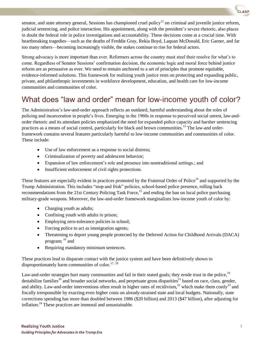

senator, and state attorney general, Sessions has championed cruel policy<sup>12</sup> on criminal and juvenile justice reform, judicial sentencing, and police interaction. His appointment, along with the president's severe rhetoric, also places in doubt the federal role in police investigations and accountability. These decisions come at a crucial time. With heartbreaking tragedies—such as the deaths of Freddie Gray, Rekia Boyd, Laquan McDonald, Eric Garner, and far too many others—becoming increasingly visible, the stakes continue to rise for federal actors.

Strong advocacy is more important than ever. Reformers across the country must steel their resolve for what's to come. Regardless of Senator Sessions' confirmation decision, the economic logic and moral force behind justice reform are as persuasive as ever. We need to remain anchored to a set of principles that promote equitable, evidence-informed solutions. This framework for realizing youth justice rests on protecting and expanding public, private, and philanthropic investments in workforce development, education, and health care for low-income communities and communities of color.

## What does "law and order" mean for low-income youth of color?

The Administration's law-and-order approach reflects an outdated, harmful understanding about the roles of policing and incarceration in people's lives. Emerging in the 1960s in response to perceived social unrest, law-andorder rhetoric and its attendant policies emphasized the need for expanded police capacity and harsher sentencing practices as a means of social control, particularly for black and brown communities.<sup>13</sup> The law-and orderframework contains several features particularly harmful to low-income communities and communities of color. These include:

- Use of law enforcement as a response to social distress;
- Criminalization of poverty and adolescent behavior;
- Expansion of law enforcement's role and presence into nontraditional settings.; and
- Insufficient enforcement of civil rights protections.

These features are especially evident in practices promoted by the Fraternal Order of Police<sup>14</sup> and supported by the Trump Administration. This includes "stop and frisk" policies, school-based police presence, rolling back recommendations from the 21st Century Policing Task Force,<sup>15</sup> and ending the ban on local police purchasing military-grade weapons. Moreover, the law-and-order framework marginalizes low-income youth of color by:

- Charging youth as adults;
- Confining youth with adults in prison;
- Employing zero-tolerance policies in school;
- Forcing police to act as immigration agents;
- Threatening to deport young people protected by the Deferred Action for Childhood Arrivals (DACA) program; <sup>16</sup> and
- Requiring mandatory minimum sentences.

These practices lead to disparate contact with the justice system and have been definitively shown to disproportionately harm communities of color.<sup>17, 18</sup>

Law-and-order strategies hurt many communities and fail in their stated goals; they erode trust in the police,<sup>19</sup> destabilize families<sup>20</sup> and broader social networks, and perpetuate gross disparities<sup>21</sup> based on race, class, gender, and ability. Law-and-order interventions often result in higher rates of recidivism,  $^{22}$  which make them costly  $^{23}$  and fiscally irresponsible by exacting even higher costs on already-strained state and local budgets. Nationally, state corrections spending has more than doubled between 1986 (\$20 billion) and 2013 (\$47 billion), after adjusting for inflation.<sup>24</sup> These practices are immoral and unsustainable.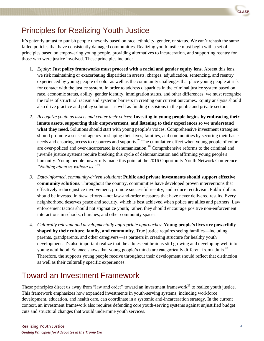

# Principles for Realizing Youth Justice

It's patently unjust to punish people unevenly based on race, ethnicity, gender, or status. We can't rehash the same failed policies that have consistently damaged communities. Realizing youth justice must begin with a set of principles based on empowering young people, providing alternatives to incarceration, and supporting reentry for those who were justice involved. These principles include:

- 1. *Equity:* **Just policy frameworks must proceed with a racial and gender equity lens**. Absent this lens, we risk maintaining or exacerbating disparities in arrests, charges, adjudication, sentencing, and reentry experienced by young people of color as well as the community challenges that place young people at risk for contact with the justice system. In order to address disparities in the criminal justice system based on race, economic status, ability, gender identity, immigration status, and other differences, we must recognize the roles of structural racism and systemic barriers in creating our current outcomes. Equity analysis should also drive practice and policy solutions as well as funding decisions in the public and private sectors.
- *2. Recognize youth as assets and center their voices:* **Investing in young people begins by embracing their innate assets, supporting their empowerment, and listening to their experiences so we understand what they need.** Solutions should start with young people's voices. Comprehensive investment strategies should promote a sense of agency in shaping their lives, families, and communities by securing their basic needs and ensuring access to resources and supports.<sup>25</sup> The cumulative effect when young people of color are over-policed and over-incarcerated is dehumanization.<sup>26</sup> Comprehensive reforms to the criminal and juvenile justice systems require breaking this cycle of dehumanization and affirming young people's humanity. Young people powerfully made this point at the 2016 Opportunity Youth Network Conference: *"Nothing about us without us."*<sup>27</sup>
- *3. Data-informed, community-driven solutions*: **Public and private investments should support effective community solutions.** Throughout the country, communities have developed proven interventions that effectively reduce justice involvement, promote successful reentry, and reduce recidivism. Public dollars should be invested in *these* efforts—not law-and-order measures that have never delivered results. Every neighborhood deserves peace and security, which is best achieved when police are allies and partners. Law enforcement tactics should not stigmatize youth; rather, they should encourage positive non-enforcement interactions in schools, churches, and other community spaces.
- 4. *Culturally relevant and developmentally appropriate approaches*: **Young people's lives are powerfully shaped by their culture, family, and community.** True justice requires seeing families—including parents, grandparents, and other caregivers—as partners in creating structure for healthy youth development. It's also important realize that the adolescent brain is still growing and developing well into young adulthood. Science shows that young people's minds are categorically different from adults.<sup>28</sup> Therefore, the supports young people receive throughout their development should reflect that distinction as well as their culturally specific experiences.

### Toward an Investment Framework

These principles direct us away from "law and order" toward an investment framework<sup>29</sup> to realize youth justice. This framework emphasizes how expanded investments in youth-serving systems, including workforce development, education, and health care, can coordinate in a systemic anti-incarceration strategy. In the current context, an investment framework also requires defending core youth-serving systems against unjustified budget cuts and structural changes that would undermine youth services.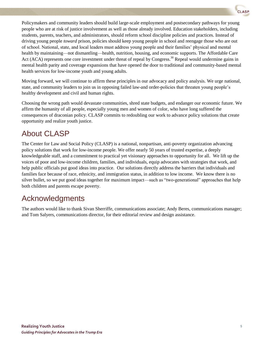Policymakers and community leaders should build large-scale employment and postsecondary pathways for young people who are at risk of justice involvement as well as those already involved. Education stakeholders, including students, parents, teachers, and administrators, should reform school discipline policies and practices. Instead of driving young people *toward* prison, policies should keep young people in school and reengage those who are out of school. National, state, and local leaders must address young people and their families' physical and mental health by maintaining—not dismantling—health, nutrition, housing, and economic supports. The Affordable Care Act (ACA) represents one core investment under threat of repeal by Congress.<sup>30</sup> Repeal would undermine gains in mental health parity and coverage expansions that have opened the door to traditional and community-based mental health services for low-income youth and young adults.

Moving forward, we will continue to affirm these principles in our advocacy and policy analysis. We urge national, state, and community leaders to join us in opposing failed law-and order-policies that threaten young people's healthy development and civil and human rights.

Choosing the wrong path would devastate communities, shred state budgets, and endanger our economic future. We affirm the humanity of all people, especially young men and women of color, who have long suffered the consequences of draconian policy. CLASP commits to redoubling our work to advance policy solutions that create opportunity and realize youth justice.

# About CLASP

The Center for Law and Social Policy (CLASP) is a national, nonpartisan, anti-poverty organization advancing policy solutions that work for low-income people. We offer nearly 50 years of trusted expertise, a deeply knowledgeable staff, and a commitment to practical yet visionary approaches to opportunity for all. We lift up the voices of poor and low-income children, families, and individuals, equip advocates with strategies that work, and help public officials put good ideas into practice. Our solutions directly address the barriers that individuals and families face because of race, ethnicity, and immigration status, in addition to low income. We know there is no silver bullet, so we put good ideas together for maximum impact—such as "two-generational" approaches that help both children and parents escape poverty.

### Acknowledgments

The authors would like to thank Sivan Sherriffe, communications associate; Andy Beres, communications manager; and Tom Salyers, communications director, for their editorial review and design assistance.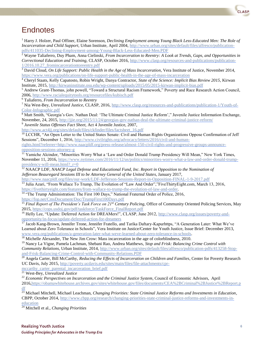

### **Endnotes**

<sup>1</sup> Harry J. Holzer, Paul Offiner, Elaine Sorenson, *Declining Employment among Young Black Less-Educated Men: The Role of Incarceration and Child Support,* Urban Institute*,* April 2004[, http://www.urban.org/sites/default/files/alfresco/publication](http://www.urban.org/sites/default/files/alfresco/publication-pdfs/411035-Declining-Employment-among-Young-Black-Less-Educated-Men.PDF)[pdfs/411035-Declining-Employment-among-Young-Black-Less-Educated-Men.PDF](http://www.urban.org/sites/default/files/alfresco/publication-pdfs/411035-Declining-Employment-among-Young-Black-Less-Educated-Men.PDF)

<sup>2</sup> Wayne Taliaferro, Duy Pham, Anna Cielinski, *From Incarceration to Reentry: A Look at Trends, Gaps, and Opportunities in Correctional Education and Training,* CLASP*,* October 2016[, http://www.clasp.org/resources-and-publications/publication-](http://www.clasp.org/resources-and-publications/publication-1/2016.10.27_fromincarcerationtoreentry.pdf)[1/2016.10.27\\_fromincarcerationtoreentry.pdf](http://www.clasp.org/resources-and-publications/publication-1/2016.10.27_fromincarcerationtoreentry.pdf) 

<sup>3</sup> David Cloud, *On Life Support: Public Health in the Age of Mass Incarceration,* Vera Institute of Justice*,* November 2014, <https://www.vera.org/publications/on-life-support-public-health-in-the-age-of-mass-incarceration>

<sup>4</sup> Cheryl Staats, Kelly Capatosto, Robin Wright, Danya Contractor, *State of the Science: Implicit Bias Review 2015*, Kirwan Institute, 2015,<http://kirwaninstitute.osu.edu/wp-content/uploads/2015/05/2015-kirwan-implicit-bias.pdf>

<sup>5</sup> Andrew Grant-Thomas, john powell, "Toward a Structural Racism Framework," Poverty and Race Research Action Council, 2006[, http://www.racialequitytools.org/resourcefiles/kubisch.pdf](http://www.racialequitytools.org/resourcefiles/kubisch.pdf) 

<sup>6</sup> Taliaferro, *From Incarceration to Reentry*

<sup>7</sup> Nia West-Bey, *Unrealized Justice*, CLASP, 2016, [http://www.clasp.org/resources-and-publications/publication-1/Youth-of-](http://www.clasp.org/resources-and-publications/publication-1/Youth-of-Color-Infographic.pdf)[Color-Infographic.pdf](http://www.clasp.org/resources-and-publications/publication-1/Youth-of-Color-Infographic.pdf)

<sup>8</sup> Matt Smith, "Georgia's Gov. Nathan Deal: 'The Ultimate Criminal Justice Reform'," Juvenile Justice Information Exchange, November, 24, 2015[, http://jjie.org/2015/11/24/georgias-gov-nathan-deal-the-ultimate-criminal-justice-reform/](http://jjie.org/2015/11/24/georgias-gov-nathan-deal-the-ultimate-criminal-justice-reform/) 

9 *Juvenile Status Offenses Fact Sheet,* Act 4 Juvenile Justice, 2007,

[http://www.act4jj.org/sites/default/files/ckfinder/files/factsheet\\_16.pdf](http://www.act4jj.org/sites/default/files/ckfinder/files/factsheet_16.pdf)

<sup>10</sup> LCCHR, "An Open Letter to the United States Senate: Civil and Human Rights Organizations Oppose Confirmation of Jeff Sessions", December 1, 2016, [http://www.civilrights.org/advocacy/letters/2016/civil-and-human](http://www.civilrights.org/advocacy/letters/2016/civil-and-human-rights.html?referrer=http://www.naacpldf.org/press-release/almost-150-civil-rights-and-progressive-groups-announce-opposition-sessions-attorney-g)[rights.html?referrer=http://www.naacpldf.org/press-release/almost-150-civil-rights-and-progressive-groups-announce-](http://www.civilrights.org/advocacy/letters/2016/civil-and-human-rights.html?referrer=http://www.naacpldf.org/press-release/almost-150-civil-rights-and-progressive-groups-announce-opposition-sessions-attorney-g)

[opposition-sessions-attorney-g](http://www.civilrights.org/advocacy/letters/2016/civil-and-human-rights.html?referrer=http://www.naacpldf.org/press-release/almost-150-civil-rights-and-progressive-groups-announce-opposition-sessions-attorney-g) 

<sup>11</sup> Yamiche Alcindor, "Minorities Worry What a 'Law and Order Donald Trump Presidency Will Mean," New York Times, November 11, 2016, [https://www.nytimes.com/2016/11/12/us/politics/minorities-worry-what-a-law-and-order-donald-trump](https://www.nytimes.com/2016/11/12/us/politics/minorities-worry-what-a-law-and-order-donald-trump-presidency-will-mean.html?_r=0)[presidency-will-mean.html?\\_r=0](https://www.nytimes.com/2016/11/12/us/politics/minorities-worry-what-a-law-and-order-donald-trump-presidency-will-mean.html?_r=0) 

<sup>12</sup> NAACP LDF, *NAACP Legal Defense and Educational Fund, Inc. Report in Opposition to the Nomination of Jefferson Beauregard Sessions III to be Attorney General of the United States,* January 2017,

<http://www.naacpldf.org/files/our-work/LDF-Jefferson-Sessions-Report-in-Opposition-FINAL-1-9-2017.pdf>

<sup>13</sup> Julia Azari, "From Wallace To Trump, The Evolution of "Law And Order","FiveThirtyEight.com, March 13, 2016, [https://fivethirtyeight.com/features/from-wallace-to-trump-the-evolution-of-law-and-order.](https://fivethirtyeight.com/features/from-wallace-to-trump-the-evolution-of-law-and-order)

<sup>14 "The Trump Administration:</sup> The First 100 Days," National Fraternal Order of Police, 2016, <https://fop.net/CmsDocument/Doc/TrumpFirst100Days.pdf>

<sup>15</sup> Final Report of The President's Task Force on 21<sup>st</sup> Century Policing, Office of Community Oriented Policing Services, May 2015[, https://cops.usdoj.gov/pdf/taskforce/TaskForce\\_FinalReport.pdf](https://cops.usdoj.gov/pdf/taskforce/TaskForce_FinalReport.pdf)

<sup>16</sup> Helly Lee, "Update: Deferred Action for DREAMers!", CLASP, June 2012, [http://www.clasp.org/issues/poverty-and](http://www.clasp.org/issues/poverty-and-opportunity/in-focus/update-deferred-action-for-dreamers)[opportunity/in-focus/update-deferred-action-for-dreamers](http://www.clasp.org/issues/poverty-and-opportunity/in-focus/update-deferred-action-for-dreamers)

 $17$  Jacob Kang-Brown, Jennifer Trone, Jennifer Fratello, and Tarika Daftary-Kapurhttps, "A Generation Later: What We've Learned about Zero Tolerance in Schools", Vera Institute on Justice/Center for Youth Justice, Issue Brief: December 2013, [www.vera.org/publications/a-generation-later-what-weve-learned-about-zero-tolerance-in-schools.](http://www.vera.org/publications/a-generation-later-what-weve-learned-about-zero-tolerance-in-schools)

<sup>18</sup> Michelle Alexander, The New Jim Crow: Mass incarceration in the age of colorblindness, 2010.

<sup>19</sup> Nancy La Vigne, Pamela Lachman, Shebani Rao, Andrea Matthews, *Stop and Frisk: Balancing Crime Control with Community Relations,* Urban Institute, 2014, [http://www.urban.org/sites/default/files/alfresco/publication-pdfs/413258-Stop](http://www.urban.org/sites/default/files/alfresco/publication-pdfs/413258-Stop-and-Frisk-Balancing-Crime-Control-with-Community-Relations.PDF)[and-Frisk-Balancing-Crime-Control-with-Community-Relations.PDF](http://www.urban.org/sites/default/files/alfresco/publication-pdfs/413258-Stop-and-Frisk-Balancing-Crime-Control-with-Community-Relations.PDF)

<sup>20</sup> Angela Carter, Bill McCarthy, *Reducing the Effects of Incarceration on Children and Families*, Center for Poverty Research UC Davis, July 2015, [http://poverty.ucdavis.edu/sites/main/files/file-attachments/cpr-](http://poverty.ucdavis.edu/sites/main/files/file-attachments/cpr-mccarthy_carter_parental_incarceration_brief.pdf)

mccarthy carter parental incarceration brief.pdf

<sup>21</sup> West-Bey, *Unrealized Justice*

<sup>22</sup> *Economic Perspectives on Incarceration and the Criminal Justice System*, Council of Economic Advisors, April

2016[,https://obamawhitehouse.archives.gov/sites/whitehouse.gov/files/documents/CEA%2BCriminal%2BJustice%2BReport.p](https://obamawhitehouse.archives.gov/sites/whitehouse.gov/files/documents/CEA%2BCriminal%2BJustice%2BReport.pdf) [df](https://obamawhitehouse.archives.gov/sites/whitehouse.gov/files/documents/CEA%2BCriminal%2BJustice%2BReport.pdf)

<sup>23</sup> Michael Mitchell, Michael Leachman, *Changing Priorities: State Criminal Justice Reforms and Investments in Education*, CBPP, October 2014[, http://www.cbpp.org/research/changing-priorities-state-criminal-justice-reforms-and-investments-in](http://www.cbpp.org/research/changing-priorities-state-criminal-justice-reforms-and-investments-in-education)[education](http://www.cbpp.org/research/changing-priorities-state-criminal-justice-reforms-and-investments-in-education)

<sup>24</sup> Mitchell et al., *Changing Priorities*